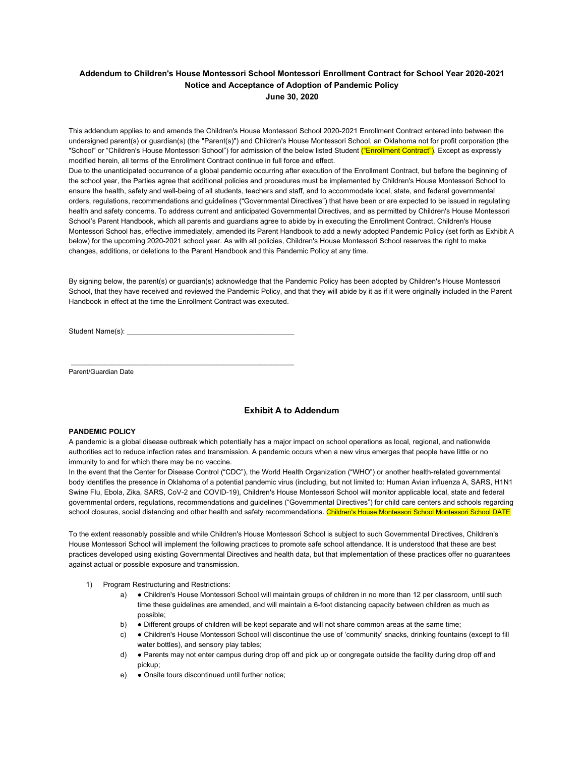## **Addendum to Children's House Montessori School Montessori Enrollment Contract for School Year 2020-2021 Notice and Acceptance of Adoption of Pandemic Policy June 30, 2020**

This addendum applies to and amends the Children's House Montessori School 2020-2021 Enrollment Contract entered into between the undersigned parent(s) or guardian(s) (the "Parent(s)") and Children's House Montessori School, an Oklahoma not for profit corporation (the "School" or "Children's House Montessori School") for admission of the below listed Student ("Enrollment Contract"). Except as expressly modified herein, all terms of the Enrollment Contract continue in full force and effect.

Due to the unanticipated occurrence of a global pandemic occurring after execution of the Enrollment Contract, but before the beginning of the school year, the Parties agree that additional policies and procedures must be implemented by Children's House Montessori School to ensure the health, safety and well-being of all students, teachers and staff, and to accommodate local, state, and federal governmental orders, regulations, recommendations and guidelines ("Governmental Directives") that have been or are expected to be issued in regulating health and safety concerns. To address current and anticipated Governmental Directives, and as permitted by Children's House Montessori School's Parent Handbook, which all parents and guardians agree to abide by in executing the Enrollment Contract, Children's House Montessori School has, effective immediately, amended its Parent Handbook to add a newly adopted Pandemic Policy (set forth as Exhibit A below) for the upcoming 2020-2021 school year. As with all policies, Children's House Montessori School reserves the right to make changes, additions, or deletions to the Parent Handbook and this Pandemic Policy at any time.

By signing below, the parent(s) or guardian(s) acknowledge that the Pandemic Policy has been adopted by Children's House Montessori School, that they have received and reviewed the Pandemic Policy, and that they will abide by it as if it were originally included in the Parent Handbook in effect at the time the Enrollment Contract was executed.

Student Name(s):

\_\_\_\_\_\_\_\_\_\_\_\_\_\_\_\_\_\_\_\_\_\_\_\_\_\_\_\_\_\_\_\_\_\_\_\_\_\_\_\_\_\_\_\_\_\_\_\_\_\_\_\_\_\_\_\_\_\_\_\_

Parent/Guardian Date

## **Exhibit A to Addendum**

## **PANDEMIC POLICY**

A pandemic is a global disease outbreak which potentially has a major impact on school operations as local, regional, and nationwide authorities act to reduce infection rates and transmission. A pandemic occurs when a new virus emerges that people have little or no immunity to and for which there may be no vaccine.

In the event that the Center for Disease Control ("CDC"), the World Health Organization ("WHO") or another health-related governmental body identifies the presence in Oklahoma of a potential pandemic virus (including, but not limited to: Human Avian influenza A, SARS, H1N1 Swine Flu, Ebola, Zika, SARS, CoV-2 and COVID-19), Children's House Montessori School will monitor applicable local, state and federal governmental orders, regulations, recommendations and guidelines ("Governmental Directives") for child care centers and schools regarding school closures, social distancing and other health and safety recommendations. Children's House Montessori School Montessori School DATE

To the extent reasonably possible and while Children's House Montessori School is subject to such Governmental Directives, Children's House Montessori School will implement the following practices to promote safe school attendance. It is understood that these are best practices developed using existing Governmental Directives and health data, but that implementation of these practices offer no guarantees against actual or possible exposure and transmission.

- 1) Program Restructuring and Restrictions:
	- a) Children's House Montessori School will maintain groups of children in no more than 12 per classroom, until such time these guidelines are amended, and will maintain a 6-foot distancing capacity between children as much as possible;
	- b) Different groups of children will be kept separate and will not share common areas at the same time;
	- c) . Children's House Montessori School will discontinue the use of 'community' snacks, drinking fountains (except to fill water bottles), and sensory play tables;
	- d) Parents may not enter campus during drop off and pick up or congregate outside the facility during drop off and pickup;
	- e) Onsite tours discontinued until further notice;